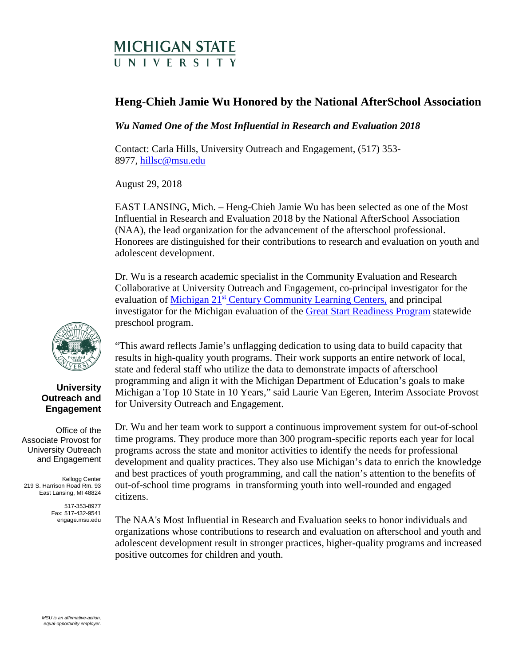## **MICHIGAN STATE INIVERSITY**

## **Heng-Chieh Jamie Wu Honored by the National AfterSchool Association**

*Wu Named One of the Most Influential in Research and Evaluation 2018* 

Contact: Carla Hills, University Outreach and Engagement, (517) 353- 8977, [hillsc@msu.edu](mailto:hillsc@msu.edu)

August 29, 2018

EAST LANSING, Mich. – Heng-Chieh Jamie Wu has been selected as one of the Most Influential in Research and Evaluation 2018 by the National AfterSchool Association (NAA), the lead organization for the advancement of the afterschool professional. Honorees are distinguished for their contributions to research and evaluation on youth and adolescent development.

Dr. Wu is a research academic specialist in the Community Evaluation and Research Collaborative at University Outreach and Engagement, co-principal investigator for the evaluation of Michigan  $21^{st}$  [Century Community Learning Centers,](https://www.michigan.gov/mde/0,4615,7-140-6530_6809-39974--,00.html) and principal investigator for the Michigan evaluation of the [Great Start Readiness Program](https://www.michigan.gov/mde/0,4615,7-140-63533_50451---,00.html) statewide preschool program.

"This award reflects Jamie's unflagging dedication to using data to build capacity that results in high-quality youth programs. Their work supports an entire network of local, state and federal staff who utilize the data to demonstrate impacts of afterschool programming and align it with the Michigan Department of Education's goals to make Michigan a Top 10 State in 10 Years," said Laurie Van Egeren, Interim Associate Provost for University Outreach and Engagement.

Dr. Wu and her team work to support a continuous improvement system for out-of-school time programs. They produce more than 300 program-specific reports each year for local programs across the state and monitor activities to identify the needs for professional development and quality practices. They also use Michigan's data to enrich the knowledge and best practices of youth programming, and call the nation's attention to the benefits of out-of-school time programs in transforming youth into well-rounded and engaged citizens.

The NAA's Most Influential in Research and Evaluation seeks to honor individuals and organizations whose contributions to research and evaluation on afterschool and youth and adolescent development result in stronger practices, higher-quality programs and increased positive outcomes for children and youth.



## **University Outreach and Engagement**

Office of the Associate Provost for University Outreach and Engagement

Kellogg Center 219 S. Harrison Road Rm. 93 East Lansing, MI 48824

> 517-353-8977 Fax: 517-432-9541 engage.msu.edu